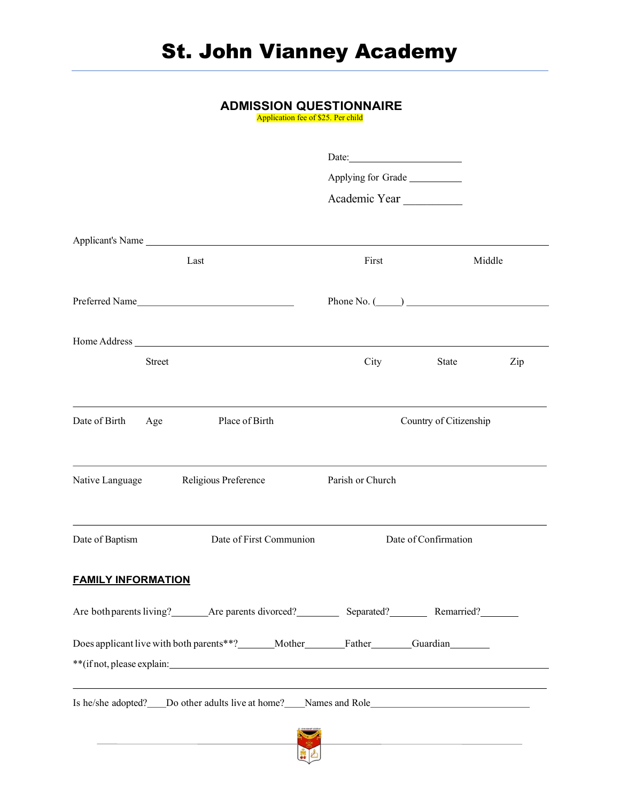### ADMISSION QUESTIONNAIRE

Application fee of \$25. Per child

|                           |               |                                                                                                      | Date:              |                        |        |
|---------------------------|---------------|------------------------------------------------------------------------------------------------------|--------------------|------------------------|--------|
|                           |               |                                                                                                      | Applying for Grade |                        |        |
|                           |               |                                                                                                      | Academic Year      |                        |        |
|                           |               |                                                                                                      |                    |                        |        |
|                           |               | Last                                                                                                 | First              |                        | Middle |
|                           |               |                                                                                                      |                    |                        |        |
|                           |               | Preferred Name                                                                                       | Phone No. $(\_\_)$ |                        |        |
|                           |               |                                                                                                      |                    |                        |        |
|                           | <b>Street</b> |                                                                                                      | City               | State                  | Zip    |
|                           |               |                                                                                                      |                    |                        |        |
| Date of Birth             | Age           | Place of Birth                                                                                       |                    | Country of Citizenship |        |
|                           |               |                                                                                                      |                    |                        |        |
| Native Language           |               | Religious Preference                                                                                 | Parish or Church   |                        |        |
|                           |               |                                                                                                      |                    |                        |        |
| Date of Baptism           |               | Date of First Communion                                                                              |                    | Date of Confirmation   |        |
| <b>FAMILY INFORMATION</b> |               |                                                                                                      |                    |                        |        |
|                           |               | Are both parents living? _______ Are parents divorced? ___________ Separated? _________ Remarried?   |                    |                        |        |
|                           |               | Does applicant live with both parents**?______Mother________Father_______Guardian_______             |                    |                        |        |
|                           |               |                                                                                                      |                    |                        |        |
|                           |               | Is he/she adopted? ____Do other adults live at home? _____Names and Role ___________________________ |                    |                        |        |
|                           |               |                                                                                                      |                    |                        |        |
|                           |               |                                                                                                      |                    |                        |        |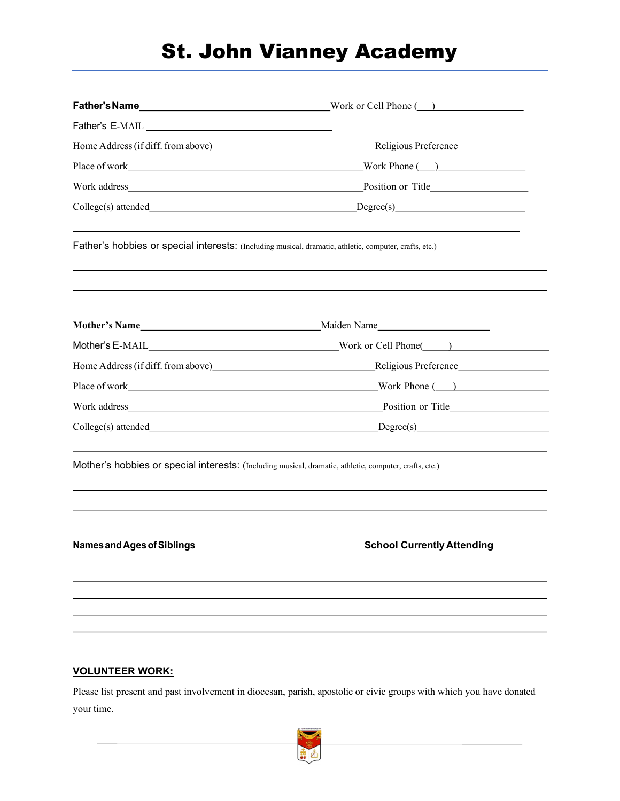## St. John Vianney Academy

|                                                                                                        | Home Address (if diff. from above) Religious Preference Religious Preference |  |  |  |
|--------------------------------------------------------------------------------------------------------|------------------------------------------------------------------------------|--|--|--|
|                                                                                                        |                                                                              |  |  |  |
|                                                                                                        |                                                                              |  |  |  |
|                                                                                                        | College(s) attended Degree(s)                                                |  |  |  |
| Father's hobbies or special interests: (Including musical, dramatic, athletic, computer, crafts, etc.) |                                                                              |  |  |  |
|                                                                                                        |                                                                              |  |  |  |
|                                                                                                        |                                                                              |  |  |  |
|                                                                                                        |                                                                              |  |  |  |
|                                                                                                        |                                                                              |  |  |  |
|                                                                                                        |                                                                              |  |  |  |
|                                                                                                        | College(s) attended Degree(s)                                                |  |  |  |
| Mother's hobbies or special interests: (Including musical, dramatic, athletic, computer, crafts, etc.) |                                                                              |  |  |  |
|                                                                                                        |                                                                              |  |  |  |
| Names and Ages of Siblings                                                                             | <b>School Currently Attending</b>                                            |  |  |  |
|                                                                                                        |                                                                              |  |  |  |
|                                                                                                        |                                                                              |  |  |  |
|                                                                                                        |                                                                              |  |  |  |

#### VOLUNTEER WORK:

Please list present and past involvement in diocesan, parish, apostolic or civic groups with which you have donated your time.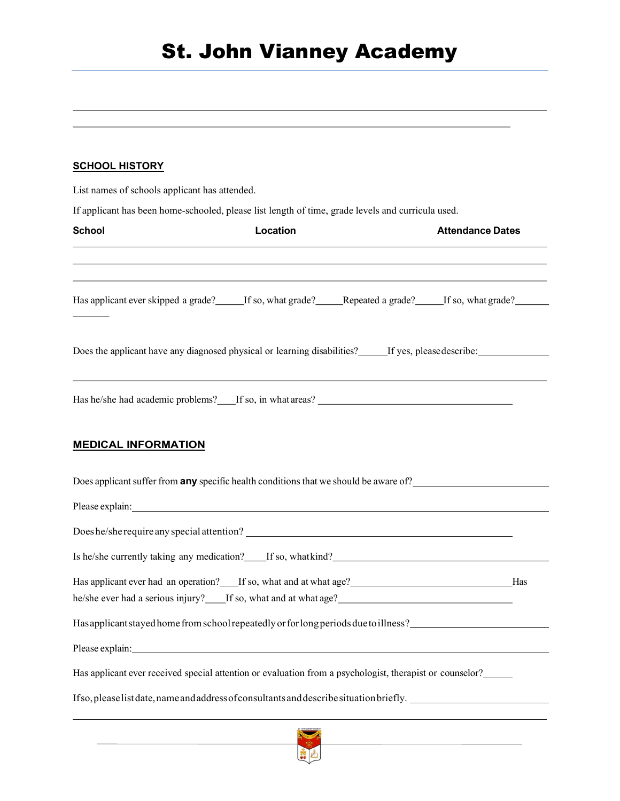### **SCHOOL HISTORY**

List names of schools applicant has attended.

If applicant has been home-schooled, please list length of time, grade levels and curricula used.

| <b>School</b>                                                                                                                                                                                                                  | Location | <b>Attendance Dates</b> |
|--------------------------------------------------------------------------------------------------------------------------------------------------------------------------------------------------------------------------------|----------|-------------------------|
| Has applicant ever skipped a grade? If so, what grade? Repeated a grade? If so, what grade?                                                                                                                                    |          |                         |
| Does the applicant have any diagnosed physical or learning disabilities? [15] If yes, pleasedescribe:                                                                                                                          |          |                         |
|                                                                                                                                                                                                                                |          |                         |
| <b>MEDICAL INFORMATION</b>                                                                                                                                                                                                     |          |                         |
| Does applicant suffer from <b>any</b> specific health conditions that we should be aware of?                                                                                                                                   |          |                         |
| Please explain: Note of the state of the state of the state of the state of the state of the state of the state of the state of the state of the state of the state of the state of the state of the state of the state of the |          |                         |
|                                                                                                                                                                                                                                |          |                         |
| Is he/she currently taking any medication? If so, whatkind? If some and the state of the state of the state of the state of the state of the state of the state of the state of the state of the state of the state of the sta |          |                         |
| Has applicant ever had an operation? If so, what and at what age? Has                                                                                                                                                          |          |                         |
| he/she ever had a serious injury? If so, what and at what age?                                                                                                                                                                 |          |                         |
| Has applicant stayed home from school repeatedly or for long periods due to illness?                                                                                                                                           |          |                         |
| Please explain: Note and the set of the set of the set of the set of the set of the set of the set of the set of the set of the set of the set of the set of the set of the set of the set of the set of the set of the set of |          |                         |
| Has applicant ever received special attention or evaluation from a psychologist, therapist or counselor?_____                                                                                                                  |          |                         |
| If so, please list date, name and address of consultants and describe situation briefly.                                                                                                                                       |          |                         |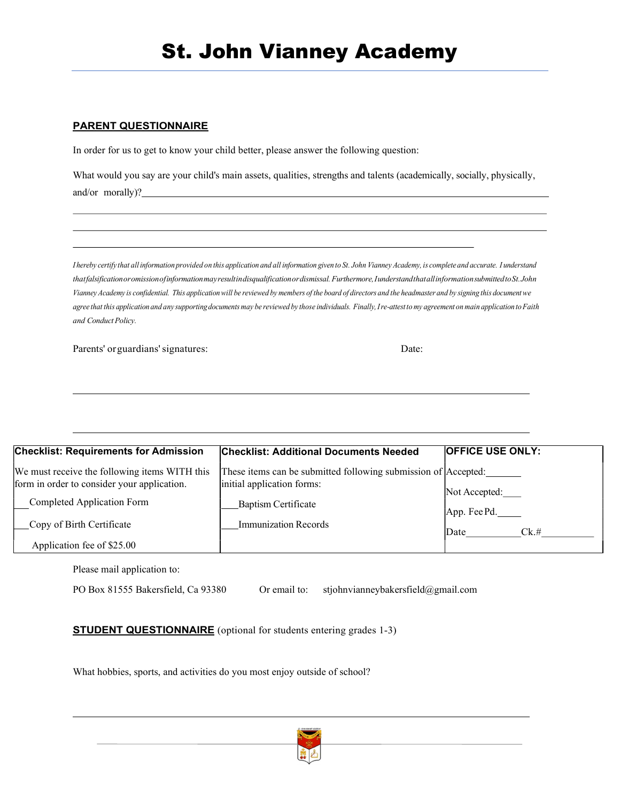# St. John Vianney Academy

#### PARENT QUESTIONNAIRE

In order for us to get to know your child better, please answer the following question:

What would you say are your child's main assets, qualities, strengths and talents (academically, socially, physically, and/or morally)?

I hereby certify that all information provided on this application and all information given to St. John Vianney Academy, is complete and accurate. I understand that falsification or omission of information may result in disqualification or dismissal. Furthermore, I understand that all information submitted to St. John Vianney Academy is confidential. This application will be reviewed by members of the board of directors and the headmaster and by signing this document we agree that this application and any supporting documents may be reviewed by those individuals. Finally, I re-attest to my agreement on main application to Faith and Conduct Policy.

Parents' or guardians' signatures: Date:

| <b>Checklist: Requirements for Admission</b>  | <b>Checklist: Additional Documents Needed</b>                  | <b>OFFICE USE ONLY:</b>      |
|-----------------------------------------------|----------------------------------------------------------------|------------------------------|
| We must receive the following items WITH this | These items can be submitted following submission of Accepted: |                              |
| form in order to consider your application.   | initial application forms:                                     | Not Accepted:                |
| Completed Application Form                    | <b>Baptism Certificate</b>                                     |                              |
| Copy of Birth Certificate                     | <b>Immunization Records</b>                                    | App. Fee Pd.<br>Date<br>Ck.# |
| Application fee of \$25.00                    |                                                                |                              |

Please mail application to:

PO Box 81555 Bakersfield, Ca 93380 Or email to: stjohnvianneybakersfield@gmail.com

**STUDENT QUESTIONNAIRE** (optional for students entering grades 1-3)

What hobbies, sports, and activities do you most enjoy outside of school?